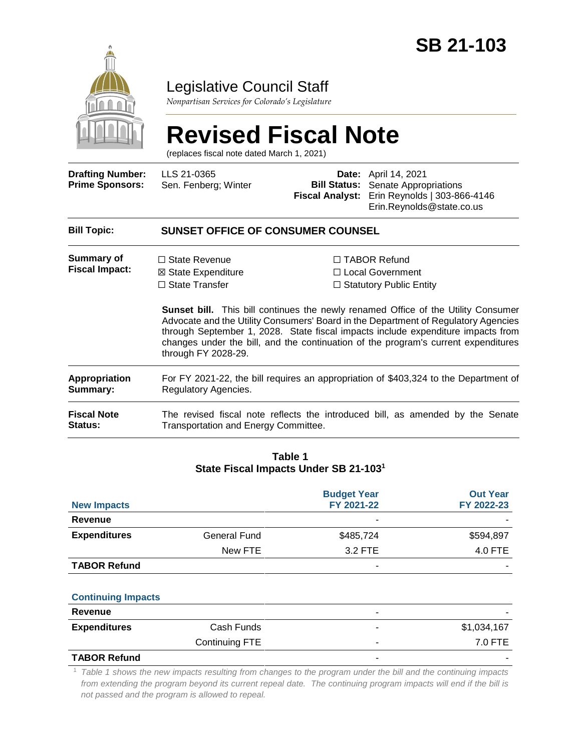

### Legislative Council Staff

*Nonpartisan Services for Colorado's Legislature*

# **Revised Fiscal Note**

(replaces fiscal note dated March 1, 2021)

| <b>Drafting Number:</b><br><b>Prime Sponsors:</b> | LLS 21-0365<br>Sen. Fenberg; Winter                                                                          | <b>Bill Status:</b><br><b>Fiscal Analyst:</b> | <b>Date:</b> April 14, 2021<br>Senate Appropriations<br>Erin Reynolds   303-866-4146<br>Erin.Reynolds@state.co.us                                                                                                                                                                                                                                                                                                                       |  |  |
|---------------------------------------------------|--------------------------------------------------------------------------------------------------------------|-----------------------------------------------|-----------------------------------------------------------------------------------------------------------------------------------------------------------------------------------------------------------------------------------------------------------------------------------------------------------------------------------------------------------------------------------------------------------------------------------------|--|--|
| <b>Bill Topic:</b>                                | <b>SUNSET OFFICE OF CONSUMER COUNSEL</b>                                                                     |                                               |                                                                                                                                                                                                                                                                                                                                                                                                                                         |  |  |
| Summary of<br><b>Fiscal Impact:</b>               | $\Box$ State Revenue<br>⊠ State Expenditure<br>$\Box$ State Transfer<br>through FY 2028-29.                  |                                               | $\Box$ TABOR Refund<br>□ Local Government<br>$\Box$ Statutory Public Entity<br><b>Sunset bill.</b> This bill continues the newly renamed Office of the Utility Consumer<br>Advocate and the Utility Consumers' Board in the Department of Regulatory Agencies<br>through September 1, 2028. State fiscal impacts include expenditure impacts from<br>changes under the bill, and the continuation of the program's current expenditures |  |  |
| <b>Appropriation</b><br>Summary:                  | For FY 2021-22, the bill requires an appropriation of \$403,324 to the Department of<br>Regulatory Agencies. |                                               |                                                                                                                                                                                                                                                                                                                                                                                                                                         |  |  |
| <b>Fiscal Note</b><br>Status:                     | Transportation and Energy Committee.                                                                         |                                               | The revised fiscal note reflects the introduced bill, as amended by the Senate                                                                                                                                                                                                                                                                                                                                                          |  |  |
|                                                   |                                                                                                              |                                               |                                                                                                                                                                                                                                                                                                                                                                                                                                         |  |  |

#### **Table 1 State Fiscal Impacts Under SB 21-103<sup>1</sup>**

| <b>New Impacts</b>  |              | <b>Budget Year</b><br>FY 2021-22 | <b>Out Year</b><br>FY 2022-23 |
|---------------------|--------------|----------------------------------|-------------------------------|
| Revenue             |              | -                                |                               |
| <b>Expenditures</b> | General Fund | \$485,724                        | \$594,897                     |
|                     | New FTE      | 3.2 FTE                          | 4.0 FTE                       |
| <b>TABOR Refund</b> |              | -                                |                               |

#### **Continuing Impacts**

| Revenue             |                | $\overline{\phantom{0}}$ |             |
|---------------------|----------------|--------------------------|-------------|
| <b>Expenditures</b> | Cash Funds     | $\overline{\phantom{a}}$ | \$1,034,167 |
|                     | Continuing FTE |                          | 7.0 FTE     |
| <b>TADOD DALINA</b> |                |                          |             |

#### **TABOR Refund**

<sup>1</sup> *Table 1 shows the new impacts resulting from changes to the program under the bill and the continuing impacts from extending the program beyond its current repeal date. The continuing program impacts will end if the bill is not passed and the program is allowed to repeal.*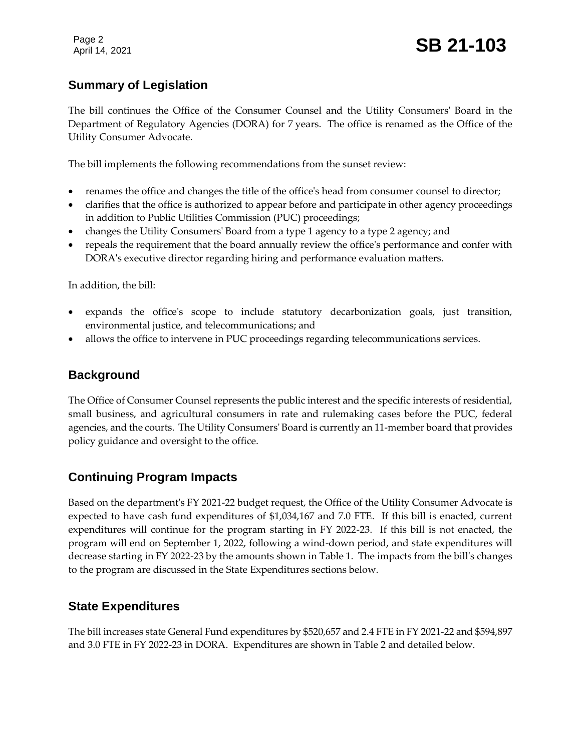Page 2

#### **Summary of Legislation**

The bill continues the Office of the Consumer Counsel and the Utility Consumers' Board in the Department of Regulatory Agencies (DORA) for 7 years. The office is renamed as the Office of the Utility Consumer Advocate.

The bill implements the following recommendations from the sunset review:

- renames the office and changes the title of the office's head from consumer counsel to director;
- clarifies that the office is authorized to appear before and participate in other agency proceedings in addition to Public Utilities Commission (PUC) proceedings;
- changes the Utility Consumers' Board from a type 1 agency to a type 2 agency; and
- repeals the requirement that the board annually review the office's performance and confer with DORA's executive director regarding hiring and performance evaluation matters.

In addition, the bill:

- expands the office's scope to include statutory decarbonization goals, just transition, environmental justice, and telecommunications; and
- allows the office to intervene in PUC proceedings regarding telecommunications services.

#### **Background**

The Office of Consumer Counsel represents the public interest and the specific interests of residential, small business, and agricultural consumers in rate and rulemaking cases before the PUC, federal agencies, and the courts. The Utility Consumers' Board is currently an 11-member board that provides policy guidance and oversight to the office.

#### **Continuing Program Impacts**

Based on the department's FY 2021-22 budget request, the Office of the Utility Consumer Advocate is expected to have cash fund expenditures of \$1,034,167 and 7.0 FTE. If this bill is enacted, current expenditures will continue for the program starting in FY 2022-23. If this bill is not enacted, the program will end on September 1, 2022, following a wind-down period, and state expenditures will decrease starting in FY 2022-23 by the amounts shown in Table 1. The impacts from the bill's changes to the program are discussed in the State Expenditures sections below.

#### **State Expenditures**

The bill increases state General Fund expenditures by \$520,657 and 2.4 FTE in FY 2021-22 and \$594,897 and 3.0 FTE in FY 2022-23 in DORA. Expenditures are shown in Table 2 and detailed below.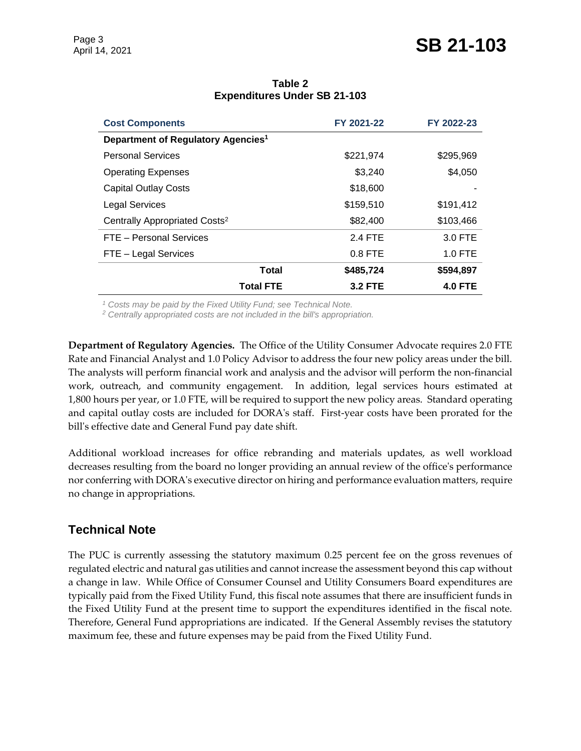## April 14, 2021 **SB 21-103**

| <b>Cost Components</b>                         | FY 2021-22     | FY 2022-23     |
|------------------------------------------------|----------------|----------------|
| Department of Regulatory Agencies <sup>1</sup> |                |                |
| <b>Personal Services</b>                       | \$221,974      | \$295,969      |
| <b>Operating Expenses</b>                      | \$3,240        | \$4,050        |
| <b>Capital Outlay Costs</b>                    | \$18,600       |                |
| <b>Legal Services</b>                          | \$159,510      | \$191,412      |
| Centrally Appropriated Costs <sup>2</sup>      | \$82,400       | \$103,466      |
| FTE - Personal Services                        | 2.4 FTE        | 3.0 FTE        |
| FTE - Legal Services                           | $0.8$ FTE      | $1.0$ FTE      |
| Total                                          | \$485,724      | \$594,897      |
| <b>Total FTE</b>                               | <b>3.2 FTE</b> | <b>4.0 FTE</b> |

#### **Table 2 Expenditures Under SB 21-103**

*<sup>1</sup> Costs may be paid by the Fixed Utility Fund; see Technical Note.*

*<sup>2</sup> Centrally appropriated costs are not included in the bill's appropriation.*

**Department of Regulatory Agencies.** The Office of the Utility Consumer Advocate requires 2.0 FTE Rate and Financial Analyst and 1.0 Policy Advisor to address the four new policy areas under the bill. The analysts will perform financial work and analysis and the advisor will perform the non-financial work, outreach, and community engagement. In addition, legal services hours estimated at 1,800 hours per year, or 1.0 FTE, will be required to support the new policy areas. Standard operating and capital outlay costs are included for DORA's staff. First-year costs have been prorated for the bill's effective date and General Fund pay date shift.

Additional workload increases for office rebranding and materials updates, as well workload decreases resulting from the board no longer providing an annual review of the office's performance nor conferring with DORA's executive director on hiring and performance evaluation matters, require no change in appropriations.

#### **Technical Note**

The PUC is currently assessing the statutory maximum 0.25 percent fee on the gross revenues of regulated electric and natural gas utilities and cannot increase the assessment beyond this cap without a change in law. While Office of Consumer Counsel and Utility Consumers Board expenditures are typically paid from the Fixed Utility Fund, this fiscal note assumes that there are insufficient funds in the Fixed Utility Fund at the present time to support the expenditures identified in the fiscal note. Therefore, General Fund appropriations are indicated. If the General Assembly revises the statutory maximum fee, these and future expenses may be paid from the Fixed Utility Fund.